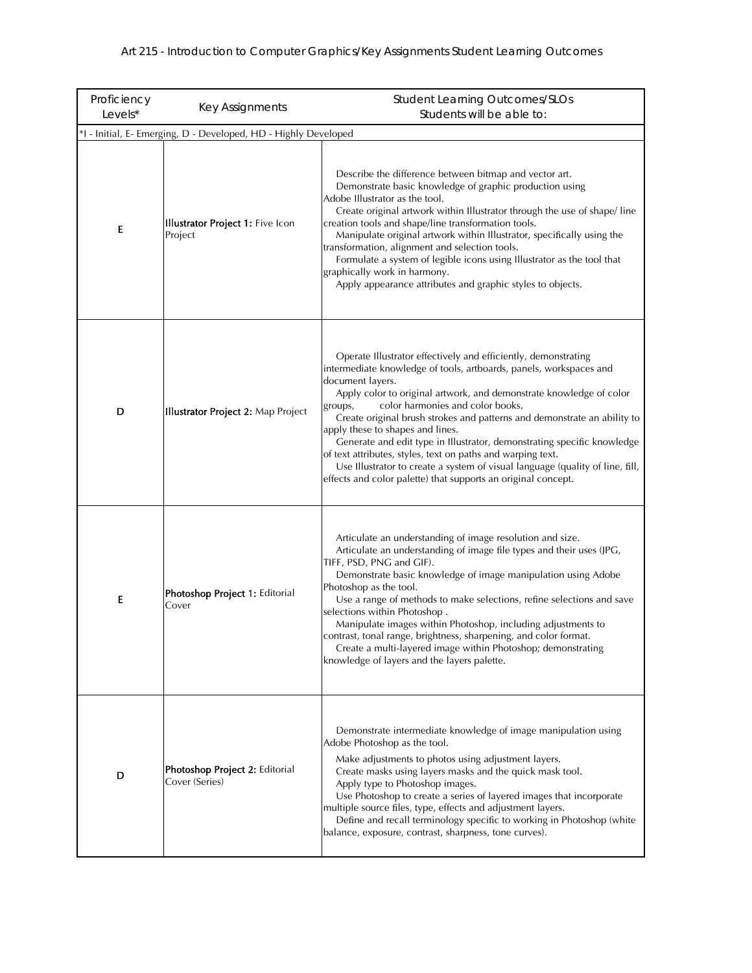| Proficiency<br>Levels*                                          | Key Assignments                                    | <b>Student Learning Outcomes/SLOs</b><br>Students will be able to:                                                                                                                                                                                                                                                                                                                                                                                                                                                                                                                                                                                                                         |  |
|-----------------------------------------------------------------|----------------------------------------------------|--------------------------------------------------------------------------------------------------------------------------------------------------------------------------------------------------------------------------------------------------------------------------------------------------------------------------------------------------------------------------------------------------------------------------------------------------------------------------------------------------------------------------------------------------------------------------------------------------------------------------------------------------------------------------------------------|--|
| *I - Initial, E- Emerging, D - Developed, HD - Highly Developed |                                                    |                                                                                                                                                                                                                                                                                                                                                                                                                                                                                                                                                                                                                                                                                            |  |
| Ε                                                               | <b>Illustrator Project 1: Five Icon</b><br>Project | Describe the difference between bitmap and vector art.<br>Demonstrate basic knowledge of graphic production using<br>Adobe Illustrator as the tool.<br>Create original artwork within Illustrator through the use of shape/line<br>creation tools and shape/line transformation tools.<br>Manipulate original artwork within Illustrator, specifically using the<br>transformation, alignment and selection tools.<br>Formulate a system of legible icons using Illustrator as the tool that<br>graphically work in harmony.<br>Apply appearance attributes and graphic styles to objects.                                                                                                 |  |
| D                                                               | <b>Illustrator Project 2: Map Project</b>          | Operate Illustrator effectively and efficiently, demonstrating<br>intermediate knowledge of tools, artboards, panels, workspaces and<br>document layers.<br>Apply color to original artwork, and demonstrate knowledge of color<br>color harmonies and color books.<br>groups,<br>Create original brush strokes and patterns and demonstrate an ability to<br>apply these to shapes and lines.<br>Generate and edit type in Illustrator, demonstrating specific knowledge<br>of text attributes, styles, text on paths and warping text.<br>Use Illustrator to create a system of visual language (quality of line, fill,<br>effects and color palette) that supports an original concept. |  |
| Ε                                                               | Photoshop Project 1: Editorial<br>Cover            | Articulate an understanding of image resolution and size.<br>Articulate an understanding of image file types and their uses (JPG,<br>TIFF, PSD, PNG and GIF).<br>Demonstrate basic knowledge of image manipulation using Adobe<br>Photoshop as the tool.<br>Use a range of methods to make selections, refine selections and save<br>selections within Photoshop.<br>Manipulate images within Photoshop, including adjustments to<br>contrast, tonal range, brightness, sharpening, and color format.<br>Create a multi-layered image within Photoshop; demonstrating<br>knowledge of layers and the layers palette.                                                                       |  |
| D                                                               | Photoshop Project 2: Editorial<br>Cover (Series)   | Demonstrate intermediate knowledge of image manipulation using<br>Adobe Photoshop as the tool.<br>Make adjustments to photos using adjustment layers.<br>Create masks using layers masks and the quick mask tool.<br>Apply type to Photoshop images.<br>Use Photoshop to create a series of layered images that incorporate<br>multiple source files, type, effects and adjustment layers.<br>Define and recall terminology specific to working in Photoshop (white<br>balance, exposure, contrast, sharpness, tone curves).                                                                                                                                                               |  |